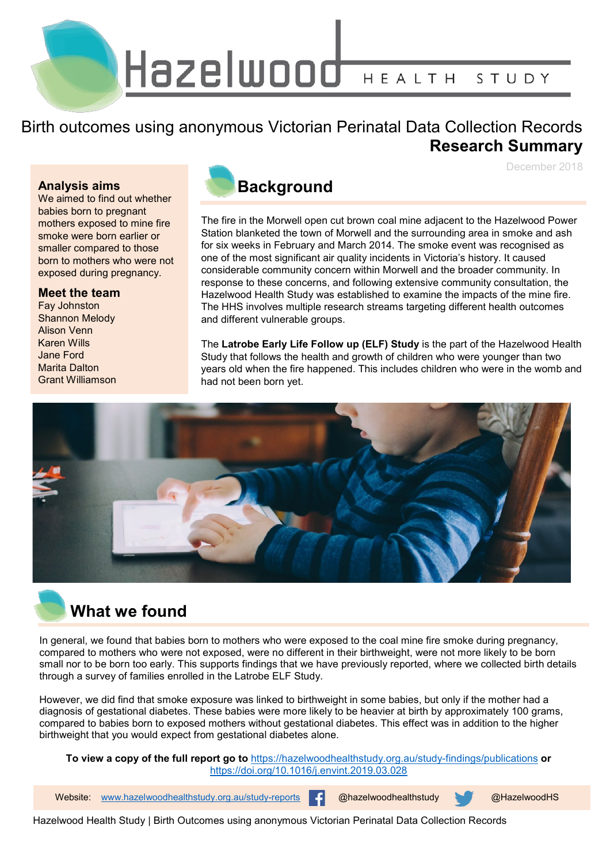Hazelwood HEALTH STUDY

#### Birth outcomes using anonymous Victorian Perinatal Data Collection Records **Research Summary**

December 2018

#### **Analysis aims**

We aimed to find out whether babies born to pregnant mothers exposed to mine fire smoke were born earlier or smaller compared to those born to mothers who were not exposed during pregnancy.

#### **Meet the team**

Fay Johnston Shannon Melody Alison Venn Karen Wills Jane Ford Marita Dalton Grant Williamson

#### **Background**

The fire in the Morwell open cut brown coal mine adjacent to the Hazelwood Power Station blanketed the town of Morwell and the surrounding area in smoke and ash for six weeks in February and March 2014. The smoke event was recognised as one of the most significant air quality incidents in Victoria's history. It caused considerable community concern within Morwell and the broader community. In response to these concerns, and following extensive community consultation, the Hazelwood Health Study was established to examine the impacts of the mine fire. The HHS involves multiple research streams targeting different health outcomes and different vulnerable groups.

The **Latrobe Early Life Follow up (ELF) Study** is the part of the Hazelwood Health Study that follows the health and growth of children who were younger than two years old when the fire happened. This includes children who were in the womb and had not been born yet.



## **What we found**

In general, we found that babies born to mothers who were exposed to the coal mine fire smoke during pregnancy, compared to mothers who were not exposed, were no different in their birthweight, were not more likely to be born small nor to be born too early. This supports findings that we have previously reported, where we collected birth details through a survey of families enrolled in the Latrobe ELF Study.

However, we did find that smoke exposure was linked to birthweight in some babies, but only if the mother had a diagnosis of gestational diabetes. These babies were more likely to be heavier at birth by approximately 100 grams, compared to babies born to exposed mothers without gestational diabetes. This effect was in addition to the higher birthweight that you would expect from gestational diabetes alone.

**To view a copy of the full report go to** <https://hazelwoodhealthstudy.org.au/study-findings/publications> **or**  <https://doi.org/10.1016/j.envint.2019.03.028>

1 Website: [www.hazelwoodhealthstudy.org.au/study-reports](http://www.hazelwoodhealthstudy.org.au/study-reports) @hazelwoodhealthstudy @HazelwoodHS

Hazelwood Health Study | Birth Outcomes using anonymous Victorian Perinatal Data Collection Records